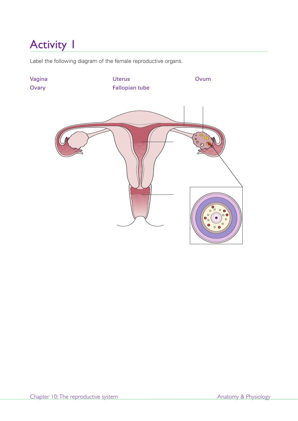Label the following diagram of the female reproductive organs.

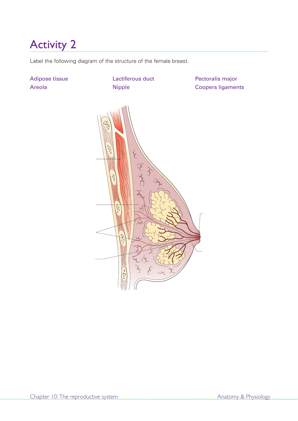Label the following diagram of the structure of the female breast.

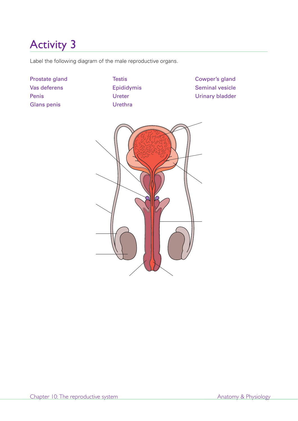Label the following diagram of the male reproductive organs.

Prostate gland Vas deferens Penis Glans penis

**Testis** Epididymis Ureter Urethra

Cowper's gland Seminal vesicle Urinary bladder

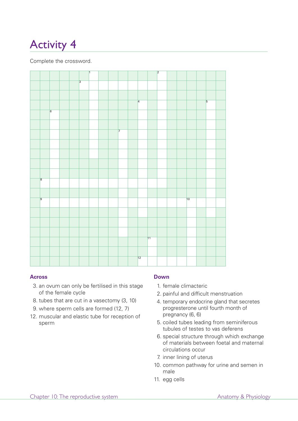Complete the crossword.



## **Across**

- 3. an ovum can only be fertilised in this stage of the female cycle
- 8. tubes that are cut in a vasectomy (3, 10)
- 9. where sperm cells are formed (12, 7)
- 12. muscular and elastic tube for reception of sperm

## **Down**

- 1. female climacteric
- 2. painful and difficult menstruation
- 4. temporary endocrine gland that secretes progresterone until fourth month of pregnancy (6, 6)
- 5. coiled tubes leading from seminiferous tubules of testes to vas deferens
- 6. special structure through which exchange of materials between foetal and maternal circulations occur
- 7. inner lining of uterus
- 10. common pathway for urine and semen in male
- 11. egg cells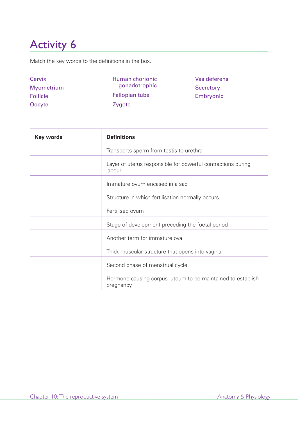Match the key words to the definitions in the box.

| Cervix          | Human chorionic       | Vas deferens |
|-----------------|-----------------------|--------------|
| Myometrium      | gonadotrophic         | Secretory    |
| <b>Follicle</b> | <b>Fallopian tube</b> | Embryonic    |
| Oocyte          | Zygote                |              |

| Key words | <b>Definitions</b>                                                       |  |
|-----------|--------------------------------------------------------------------------|--|
|           | Transports sperm from testis to urethra                                  |  |
|           | Layer of uterus responsible for powerful contractions during<br>labour   |  |
|           | Immature ovum encased in a sac                                           |  |
|           | Structure in which fertilisation normally occurs                         |  |
|           | Fertilised ovum                                                          |  |
|           | Stage of development preceding the foetal period                         |  |
|           | Another term for immature ova                                            |  |
|           | Thick muscular structure that opens into vagina                          |  |
|           | Second phase of menstrual cycle                                          |  |
|           | Hormone causing corpus luteum to be maintained to establish<br>pregnancy |  |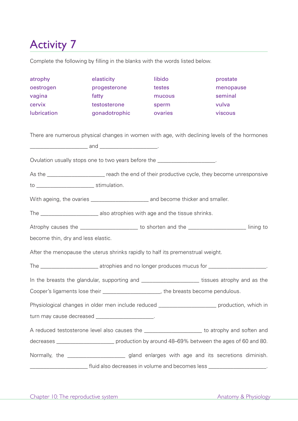Complete the following by filling in the blanks with the words listed below.

| atrophy                                                                                       | elasticity                                                                                         | libido  | prostate  |  |  |
|-----------------------------------------------------------------------------------------------|----------------------------------------------------------------------------------------------------|---------|-----------|--|--|
| oestrogen                                                                                     | progesterone                                                                                       | testes  | menopause |  |  |
| vagina                                                                                        | fatty                                                                                              | mucous  | seminal   |  |  |
| cervix                                                                                        | testosterone                                                                                       | sperm   | vulva     |  |  |
| lubrication                                                                                   | gonadotrophic                                                                                      | ovaries | viscous   |  |  |
|                                                                                               |                                                                                                    |         |           |  |  |
|                                                                                               | There are numerous physical changes in women with age, with declining levels of the hormones       |         |           |  |  |
|                                                                                               |                                                                                                    |         |           |  |  |
|                                                                                               |                                                                                                    |         |           |  |  |
| Ovulation usually stops one to two years before the ____________________.                     |                                                                                                    |         |           |  |  |
|                                                                                               | As the _______________________ reach the end of their productive cycle, they become unresponsive   |         |           |  |  |
|                                                                                               |                                                                                                    |         |           |  |  |
|                                                                                               |                                                                                                    |         |           |  |  |
|                                                                                               |                                                                                                    |         |           |  |  |
|                                                                                               | Atrophy causes the ________________________ to shorten and the ________________________ lining to  |         |           |  |  |
| become thin, dry and less elastic.                                                            |                                                                                                    |         |           |  |  |
| After the menopause the uterus shrinks rapidly to half its premenstrual weight.               |                                                                                                    |         |           |  |  |
|                                                                                               |                                                                                                    |         |           |  |  |
|                                                                                               | In the breasts the glandular, supporting and _______________________ tissues atrophy and as the    |         |           |  |  |
| Cooper's ligaments lose their _________________________, the breasts become pendulous.        |                                                                                                    |         |           |  |  |
|                                                                                               | Physiological changes in older men include reduced ________________________ production, which in   |         |           |  |  |
| turn may cause decreased _____________________.                                               |                                                                                                    |         |           |  |  |
| A reduced testosterone level also causes the ______________________ to atrophy and soften and |                                                                                                    |         |           |  |  |
|                                                                                               | decreases _____________________________ production by around 48-69% between the ages of 60 and 80. |         |           |  |  |
|                                                                                               | Normally, the _________________________gland enlarges with age and its secretions diminish.        |         |           |  |  |
|                                                                                               |                                                                                                    |         |           |  |  |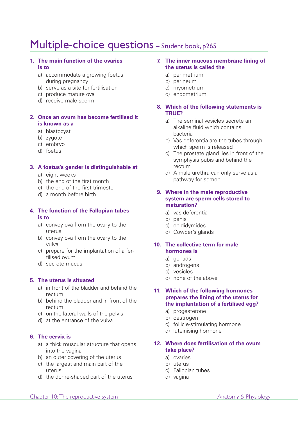## Multiple-choice questions - Student book, p265

#### **1. The main function of the ovaries is to**

- a) accommodate a growing foetus during pregnancy
- b) serve as a site for fertilisation
- c) produce mature ova
- d) receive male sperm

### **2. Once an ovum has become fertilised it is known as a**

- a) blastocyst
- b) zygote
- c) embryo
- d) foetus

### **3. A foetus's gender is distinguishable at**

- a) eight weeks
- b) the end of the first month
- c) the end of the first trimester
- d) a month before birth

#### **4. The function of the Fallopian tubes is to**

- a) convey ova from the ovary to the uterus
- b) convey ova from the ovary to the vulva
- c) prepare for the implantation of a fertilised ovum
- d) secrete mucus

## **5. The uterus is situated**

- a) in front of the bladder and behind the rectum
- b) behind the bladder and in front of the rectum
- c) on the lateral walls of the pelvis
- d) at the entrance of the vulva

## **6. The cervix is**

- a) a thick muscular structure that opens into the vagina
- b) an outer covering of the uterus
- c) the largest and main part of the uterus
- d) the dome-shaped part of the uterus

### **7. The inner mucous membrane lining of the uterus is called the**

- a) perimetrium
- b) perineum
- c) myometrium
- d) endometrium

### **8. Which of the following statements is TRUE?**

- a) The seminal vesicles secrete an alkaline fluid which contains bacteria
- b) Vas deferentia are the tubes through which sperm is released
- c) The prostate gland lies in front of the symphysis pubis and behind the rectum
- d) A male urethra can only serve as a pathway for semen

#### **9. Where in the male reproductive system are sperm cells stored to maturation?**

- a) vas deferentia
- b) penis
- c) epididymides
- d) Cowper's glands

### **10. The collective term for male hormones is**

- a) gonads
- b) androgens
- c) vesicles
- d) none of the above

#### **11. Which of the following hormones prepares the lining of the uterus for the implantation of a fertilised egg?**

- a) progesterone
- b) oestrogen
- c) follicle-stimulating hormone
- d) luteinising hormone
- **12. Where does fertilisation of the ovum take place?**
	- a) ovaries
	- b) uterus
	- c) Fallopian tubes
	- d) vagina